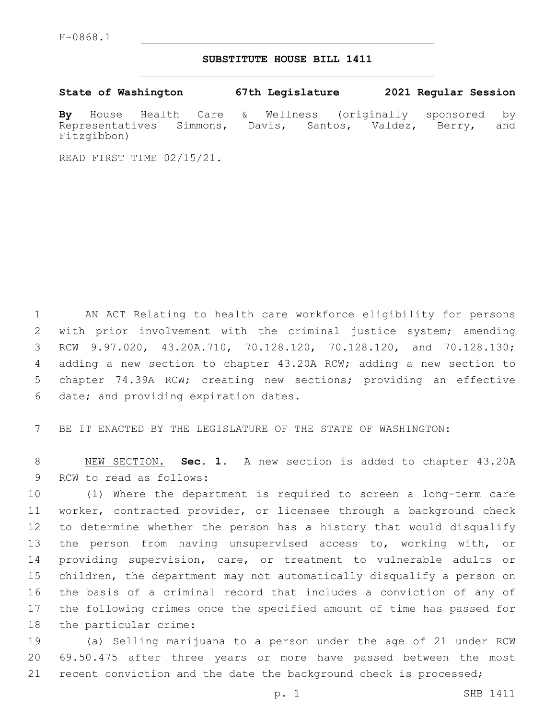## **SUBSTITUTE HOUSE BILL 1411**

**State of Washington 67th Legislature 2021 Regular Session By** House Health Care & Wellness (originally sponsored by Representatives Simmons, Davis, Santos, Valdez, Berry, and Fitzgibbon)

READ FIRST TIME 02/15/21.

 AN ACT Relating to health care workforce eligibility for persons with prior involvement with the criminal justice system; amending RCW 9.97.020, 43.20A.710, 70.128.120, 70.128.120, and 70.128.130; adding a new section to chapter 43.20A RCW; adding a new section to chapter 74.39A RCW; creating new sections; providing an effective 6 date; and providing expiration dates.

7 BE IT ENACTED BY THE LEGISLATURE OF THE STATE OF WASHINGTON:

8 NEW SECTION. **Sec. 1.** A new section is added to chapter 43.20A 9 RCW to read as follows:

 (1) Where the department is required to screen a long-term care worker, contracted provider, or licensee through a background check to determine whether the person has a history that would disqualify the person from having unsupervised access to, working with, or providing supervision, care, or treatment to vulnerable adults or children, the department may not automatically disqualify a person on the basis of a criminal record that includes a conviction of any of the following crimes once the specified amount of time has passed for 18 the particular crime:

19 (a) Selling marijuana to a person under the age of 21 under RCW 20 69.50.475 after three years or more have passed between the most 21 recent conviction and the date the background check is processed;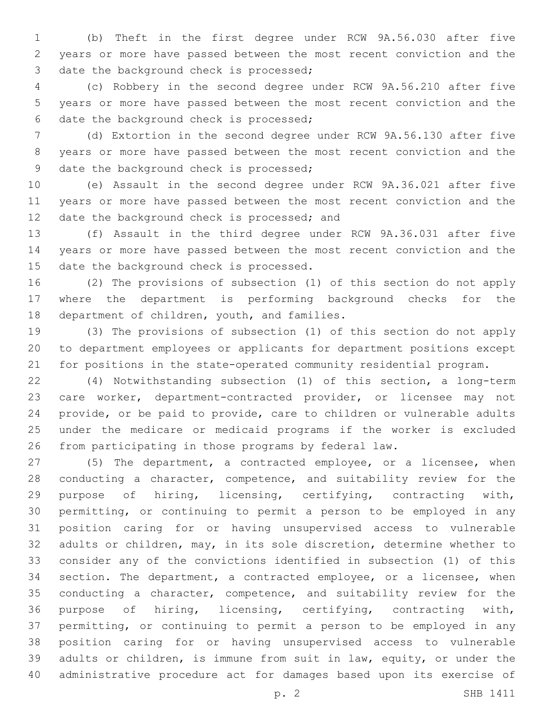(b) Theft in the first degree under RCW 9A.56.030 after five years or more have passed between the most recent conviction and the 3 date the background check is processed;

 (c) Robbery in the second degree under RCW 9A.56.210 after five years or more have passed between the most recent conviction and the 6 date the background check is processed;

 (d) Extortion in the second degree under RCW 9A.56.130 after five years or more have passed between the most recent conviction and the 9 date the background check is processed;

 (e) Assault in the second degree under RCW 9A.36.021 after five years or more have passed between the most recent conviction and the 12 date the background check is processed; and

 (f) Assault in the third degree under RCW 9A.36.031 after five years or more have passed between the most recent conviction and the 15 date the background check is processed.

 (2) The provisions of subsection (1) of this section do not apply where the department is performing background checks for the 18 department of children, youth, and families.

 (3) The provisions of subsection (1) of this section do not apply to department employees or applicants for department positions except for positions in the state-operated community residential program.

 (4) Notwithstanding subsection (1) of this section, a long-term care worker, department-contracted provider, or licensee may not provide, or be paid to provide, care to children or vulnerable adults under the medicare or medicaid programs if the worker is excluded from participating in those programs by federal law.

 (5) The department, a contracted employee, or a licensee, when conducting a character, competence, and suitability review for the purpose of hiring, licensing, certifying, contracting with, permitting, or continuing to permit a person to be employed in any position caring for or having unsupervised access to vulnerable adults or children, may, in its sole discretion, determine whether to consider any of the convictions identified in subsection (1) of this section. The department, a contracted employee, or a licensee, when conducting a character, competence, and suitability review for the purpose of hiring, licensing, certifying, contracting with, permitting, or continuing to permit a person to be employed in any position caring for or having unsupervised access to vulnerable adults or children, is immune from suit in law, equity, or under the administrative procedure act for damages based upon its exercise of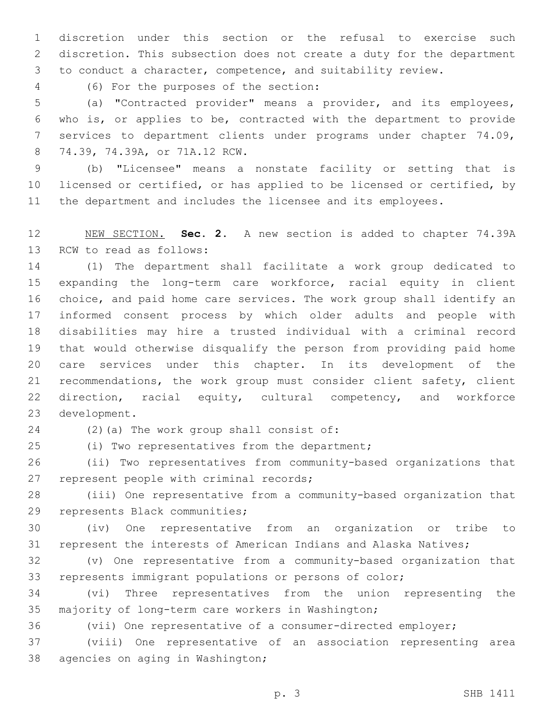discretion under this section or the refusal to exercise such discretion. This subsection does not create a duty for the department to conduct a character, competence, and suitability review.

(6) For the purposes of the section:4

 (a) "Contracted provider" means a provider, and its employees, who is, or applies to be, contracted with the department to provide services to department clients under programs under chapter 74.09, 74.39, 74.39A, or 71A.12 RCW.8

 (b) "Licensee" means a nonstate facility or setting that is licensed or certified, or has applied to be licensed or certified, by the department and includes the licensee and its employees.

 NEW SECTION. **Sec. 2.** A new section is added to chapter 74.39A 13 RCW to read as follows:

 (1) The department shall facilitate a work group dedicated to expanding the long-term care workforce, racial equity in client choice, and paid home care services. The work group shall identify an informed consent process by which older adults and people with disabilities may hire a trusted individual with a criminal record that would otherwise disqualify the person from providing paid home care services under this chapter. In its development of the recommendations, the work group must consider client safety, client direction, racial equity, cultural competency, and workforce 23 development.

24 (2)(a) The work group shall consist of:

(i) Two representatives from the department;25

 (ii) Two representatives from community-based organizations that 27 represent people with criminal records;

 (iii) One representative from a community-based organization that 29 represents Black communities;

 (iv) One representative from an organization or tribe to represent the interests of American Indians and Alaska Natives;

 (v) One representative from a community-based organization that represents immigrant populations or persons of color;

 (vi) Three representatives from the union representing the 35 majority of long-term care workers in Washington;

(vii) One representative of a consumer-directed employer;

 (viii) One representative of an association representing area 38 agencies on aging in Washington;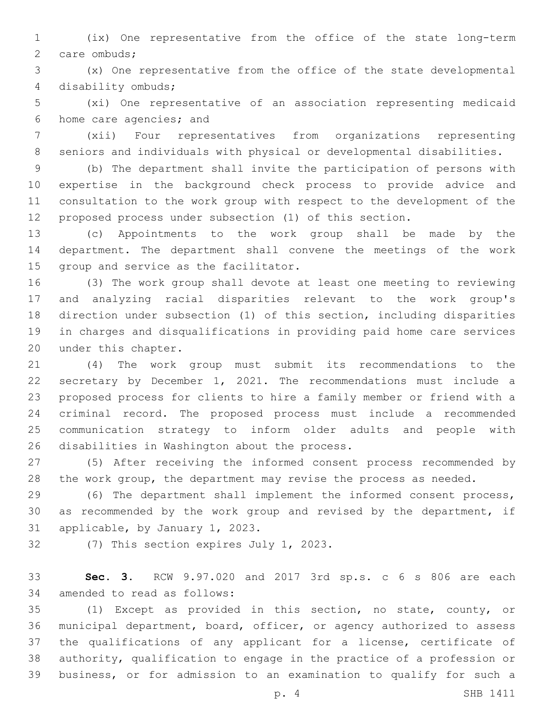(ix) One representative from the office of the state long-term 2 care ombuds;

 (x) One representative from the office of the state developmental disability ombuds;4

 (xi) One representative of an association representing medicaid 6 home care agencies; and

 (xii) Four representatives from organizations representing seniors and individuals with physical or developmental disabilities.

 (b) The department shall invite the participation of persons with expertise in the background check process to provide advice and consultation to the work group with respect to the development of the proposed process under subsection (1) of this section.

 (c) Appointments to the work group shall be made by the department. The department shall convene the meetings of the work 15 group and service as the facilitator.

 (3) The work group shall devote at least one meeting to reviewing and analyzing racial disparities relevant to the work group's direction under subsection (1) of this section, including disparities in charges and disqualifications in providing paid home care services 20 under this chapter.

 (4) The work group must submit its recommendations to the secretary by December 1, 2021. The recommendations must include a proposed process for clients to hire a family member or friend with a criminal record. The proposed process must include a recommended communication strategy to inform older adults and people with 26 disabilities in Washington about the process.

 (5) After receiving the informed consent process recommended by 28 the work group, the department may revise the process as needed.

 (6) The department shall implement the informed consent process, as recommended by the work group and revised by the department, if 31 applicable, by January 1, 2023.

32 (7) This section expires July 1, 2023.

 **Sec. 3.** RCW 9.97.020 and 2017 3rd sp.s. c 6 s 806 are each 34 amended to read as follows:

 (1) Except as provided in this section, no state, county, or municipal department, board, officer, or agency authorized to assess 37 the qualifications of any applicant for a license, certificate of authority, qualification to engage in the practice of a profession or business, or for admission to an examination to qualify for such a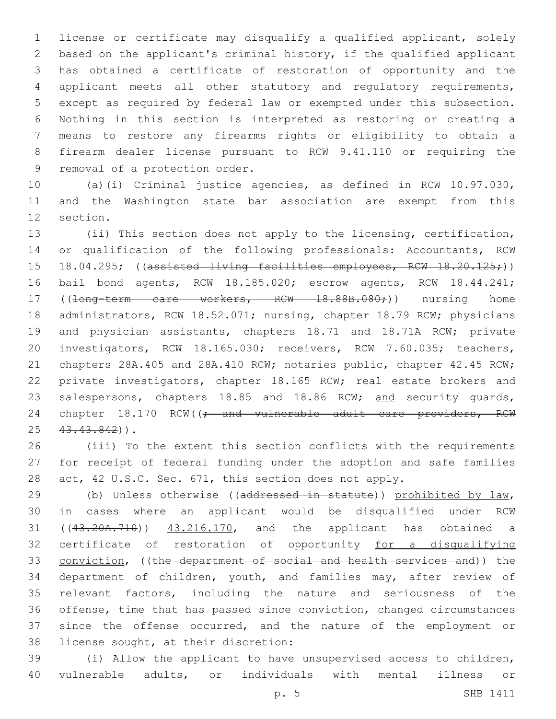license or certificate may disqualify a qualified applicant, solely based on the applicant's criminal history, if the qualified applicant has obtained a certificate of restoration of opportunity and the applicant meets all other statutory and regulatory requirements, except as required by federal law or exempted under this subsection. Nothing in this section is interpreted as restoring or creating a means to restore any firearms rights or eligibility to obtain a firearm dealer license pursuant to RCW 9.41.110 or requiring the 9 removal of a protection order.

 (a)(i) Criminal justice agencies, as defined in RCW 10.97.030, and the Washington state bar association are exempt from this 12 section.

 (ii) This section does not apply to the licensing, certification, or qualification of the following professionals: Accountants, RCW 15 18.04.295; ((assisted living facilities employees, RCW 18.20.125;)) bail bond agents, RCW 18.185.020; escrow agents, RCW 18.44.241; 17 ((<del>long-term care workers, RCW 18.88B.080;</del>)) nursing home administrators, RCW 18.52.071; nursing, chapter 18.79 RCW; physicians 19 and physician assistants, chapters 18.71 and 18.71A RCW; private investigators, RCW 18.165.030; receivers, RCW 7.60.035; teachers, chapters 28A.405 and 28A.410 RCW; notaries public, chapter 42.45 RCW; private investigators, chapter 18.165 RCW; real estate brokers and 23 salespersons, chapters 18.85 and 18.86 RCW; and security guards, 24 chapter 18.170 RCW((; and vulnerable adult care providers, RCW 25 43.43.842)).

 (iii) To the extent this section conflicts with the requirements for receipt of federal funding under the adoption and safe families 28 act, 42 U.S.C. Sec. 671, this section does not apply.

29 (b) Unless otherwise ((addressed in statute)) prohibited by law, in cases where an applicant would be disqualified under RCW ((43.20A.710)) 43.216.170, and the applicant has obtained a certificate of restoration of opportunity for a disqualifying conviction, ((the department of social and health services and)) the department of children, youth, and families may, after review of relevant factors, including the nature and seriousness of the offense, time that has passed since conviction, changed circumstances since the offense occurred, and the nature of the employment or 38 license sought, at their discretion:

 (i) Allow the applicant to have unsupervised access to children, vulnerable adults, or individuals with mental illness or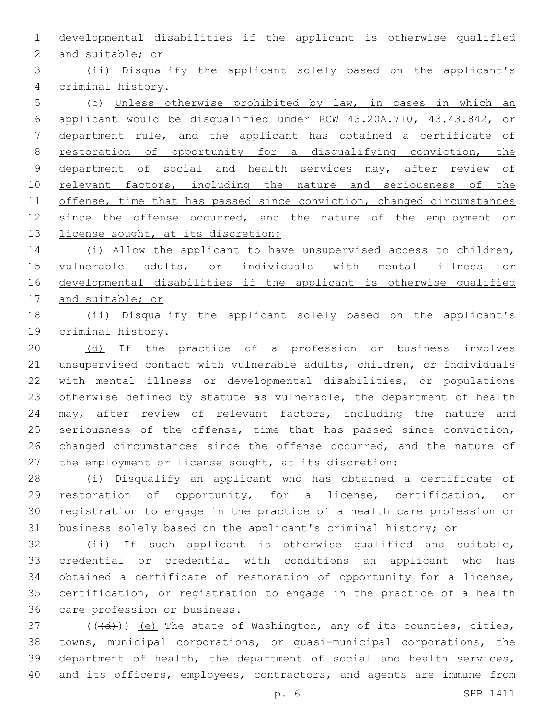developmental disabilities if the applicant is otherwise qualified 2 and suitable; or

 (ii) Disqualify the applicant solely based on the applicant's criminal history.4

 (c) Unless otherwise prohibited by law, in cases in which an applicant would be disqualified under RCW 43.20A.710, 43.43.842, or department rule, and the applicant has obtained a certificate of restoration of opportunity for a disqualifying conviction, the 9 department of social and health services may, after review of 10 relevant factors, including the nature and seriousness of the 11 offense, time that has passed since conviction, changed circumstances 12 since the offense occurred, and the nature of the employment or 13 license sought, at its discretion:

 (i) Allow the applicant to have unsupervised access to children, vulnerable adults, or individuals with mental illness or developmental disabilities if the applicant is otherwise qualified and suitable; or

 (ii) Disqualify the applicant solely based on the applicant's criminal history.

20 (d) If the practice of a profession or business involves unsupervised contact with vulnerable adults, children, or individuals with mental illness or developmental disabilities, or populations otherwise defined by statute as vulnerable, the department of health may, after review of relevant factors, including the nature and seriousness of the offense, time that has passed since conviction, 26 changed circumstances since the offense occurred, and the nature of the employment or license sought, at its discretion:

 (i) Disqualify an applicant who has obtained a certificate of restoration of opportunity, for a license, certification, or registration to engage in the practice of a health care profession or business solely based on the applicant's criminal history; or

 (ii) If such applicant is otherwise qualified and suitable, credential or credential with conditions an applicant who has obtained a certificate of restoration of opportunity for a license, certification, or registration to engage in the practice of a health 36 care profession or business.

 (( $\left(\frac{1}{2}\right)$ ) (e) The state of Washington, any of its counties, cities, towns, municipal corporations, or quasi-municipal corporations, the 39 department of health, the department of social and health services, and its officers, employees, contractors, and agents are immune from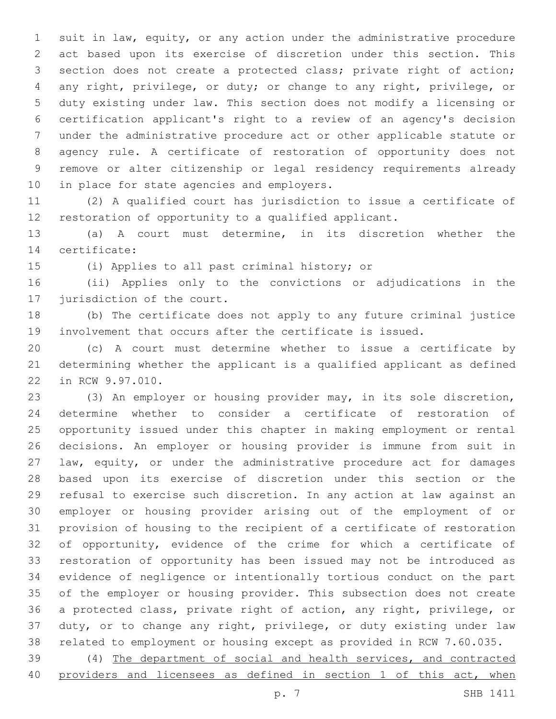suit in law, equity, or any action under the administrative procedure act based upon its exercise of discretion under this section. This section does not create a protected class; private right of action; any right, privilege, or duty; or change to any right, privilege, or duty existing under law. This section does not modify a licensing or certification applicant's right to a review of an agency's decision under the administrative procedure act or other applicable statute or agency rule. A certificate of restoration of opportunity does not remove or alter citizenship or legal residency requirements already 10 in place for state agencies and employers.

 (2) A qualified court has jurisdiction to issue a certificate of restoration of opportunity to a qualified applicant.

 (a) A court must determine, in its discretion whether the 14 certificate:

15 (i) Applies to all past criminal history; or

 (ii) Applies only to the convictions or adjudications in the 17 jurisdiction of the court.

 (b) The certificate does not apply to any future criminal justice involvement that occurs after the certificate is issued.

 (c) A court must determine whether to issue a certificate by determining whether the applicant is a qualified applicant as defined 22 in RCW 9.97.010.

 (3) An employer or housing provider may, in its sole discretion, determine whether to consider a certificate of restoration of opportunity issued under this chapter in making employment or rental decisions. An employer or housing provider is immune from suit in law, equity, or under the administrative procedure act for damages based upon its exercise of discretion under this section or the refusal to exercise such discretion. In any action at law against an employer or housing provider arising out of the employment of or provision of housing to the recipient of a certificate of restoration of opportunity, evidence of the crime for which a certificate of restoration of opportunity has been issued may not be introduced as evidence of negligence or intentionally tortious conduct on the part of the employer or housing provider. This subsection does not create a protected class, private right of action, any right, privilege, or duty, or to change any right, privilege, or duty existing under law related to employment or housing except as provided in RCW 7.60.035.

 (4) The department of social and health services, and contracted 40 providers and licensees as defined in section 1 of this act, when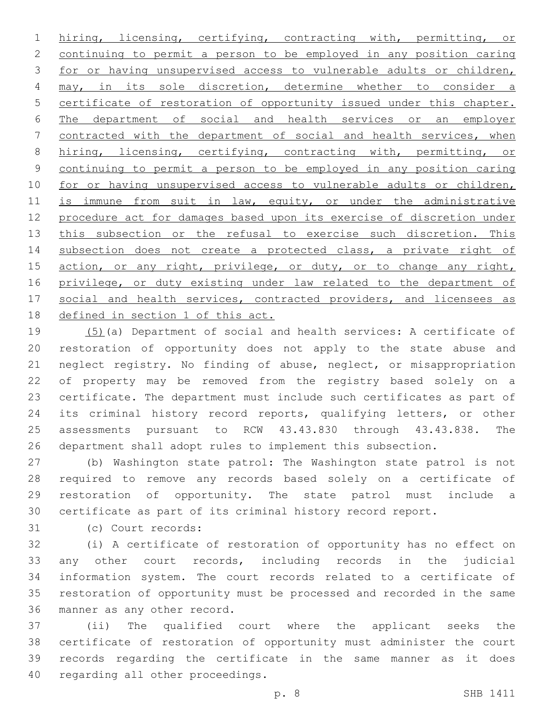hiring, licensing, certifying, contracting with, permitting, or continuing to permit a person to be employed in any position caring for or having unsupervised access to vulnerable adults or children, 4 may, in its sole discretion, determine whether to consider a certificate of restoration of opportunity issued under this chapter. The department of social and health services or an employer contracted with the department of social and health services, when 8 hiring, licensing, certifying, contracting with, permitting, or continuing to permit a person to be employed in any position caring 10 for or having unsupervised access to vulnerable adults or children, 11 is immune from suit in law, equity, or under the administrative procedure act for damages based upon its exercise of discretion under 13 this subsection or the refusal to exercise such discretion. This 14 subsection does not create a protected class, a private right of 15 action, or any right, privilege, or duty, or to change any right, privilege, or duty existing under law related to the department of 17 social and health services, contracted providers, and licensees as 18 defined in section 1 of this act.

 (5)(a) Department of social and health services: A certificate of restoration of opportunity does not apply to the state abuse and neglect registry. No finding of abuse, neglect, or misappropriation of property may be removed from the registry based solely on a certificate. The department must include such certificates as part of 24 its criminal history record reports, qualifying letters, or other assessments pursuant to RCW 43.43.830 through 43.43.838. The department shall adopt rules to implement this subsection.

 (b) Washington state patrol: The Washington state patrol is not required to remove any records based solely on a certificate of restoration of opportunity. The state patrol must include a certificate as part of its criminal history record report.

(c) Court records:31

 (i) A certificate of restoration of opportunity has no effect on any other court records, including records in the judicial information system. The court records related to a certificate of restoration of opportunity must be processed and recorded in the same 36 manner as any other record.

 (ii) The qualified court where the applicant seeks the certificate of restoration of opportunity must administer the court records regarding the certificate in the same manner as it does 40 regarding all other proceedings.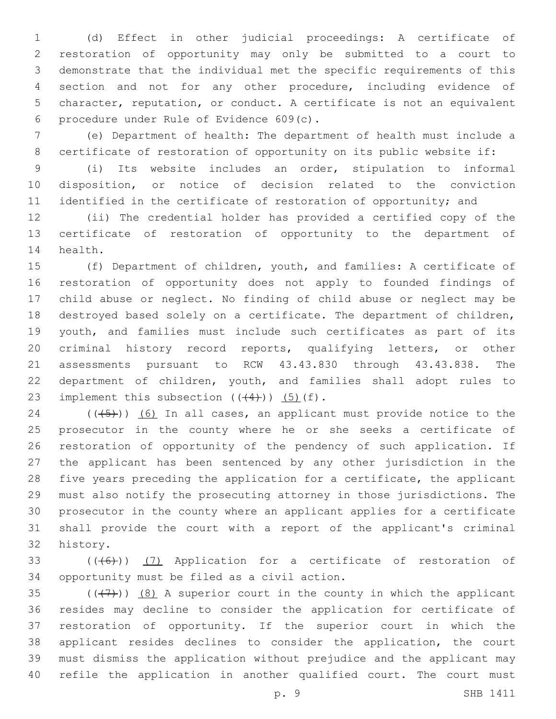(d) Effect in other judicial proceedings: A certificate of restoration of opportunity may only be submitted to a court to demonstrate that the individual met the specific requirements of this section and not for any other procedure, including evidence of character, reputation, or conduct. A certificate is not an equivalent procedure under Rule of Evidence 609(c).6

 (e) Department of health: The department of health must include a 8 certificate of restoration of opportunity on its public website if:

 (i) Its website includes an order, stipulation to informal disposition, or notice of decision related to the conviction 11 identified in the certificate of restoration of opportunity; and

 (ii) The credential holder has provided a certified copy of the certificate of restoration of opportunity to the department of 14 health.

 (f) Department of children, youth, and families: A certificate of restoration of opportunity does not apply to founded findings of child abuse or neglect. No finding of child abuse or neglect may be destroyed based solely on a certificate. The department of children, youth, and families must include such certificates as part of its criminal history record reports, qualifying letters, or other assessments pursuant to RCW 43.43.830 through 43.43.838. The department of children, youth, and families shall adopt rules to 23 implement this subsection  $((44))$   $(5)$   $(f)$ .

 (( $(-5)$ )) (6) In all cases, an applicant must provide notice to the prosecutor in the county where he or she seeks a certificate of restoration of opportunity of the pendency of such application. If the applicant has been sentenced by any other jurisdiction in the five years preceding the application for a certificate, the applicant must also notify the prosecuting attorney in those jurisdictions. The prosecutor in the county where an applicant applies for a certificate shall provide the court with a report of the applicant's criminal 32 history.

33 (((6)) (7) Application for a certificate of restoration of 34 opportunity must be filed as a civil action.

35 ( $($ ( $($  $+7$ )))  $($ 8) A superior court in the county in which the applicant resides may decline to consider the application for certificate of restoration of opportunity. If the superior court in which the applicant resides declines to consider the application, the court must dismiss the application without prejudice and the applicant may refile the application in another qualified court. The court must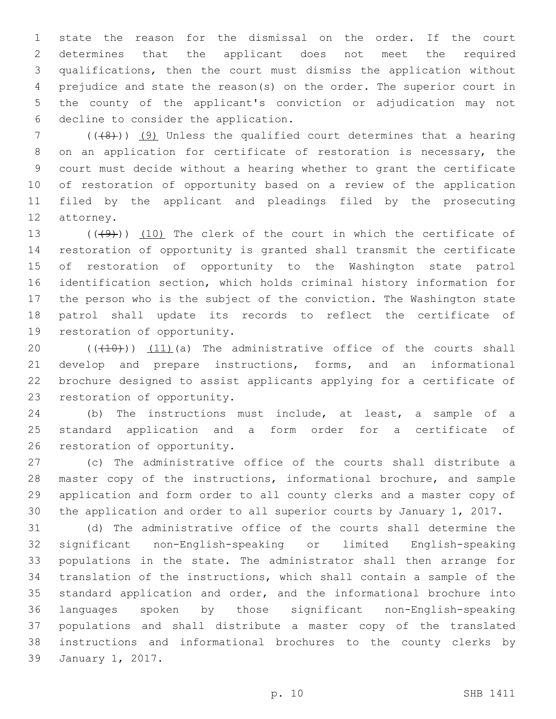state the reason for the dismissal on the order. If the court determines that the applicant does not meet the required qualifications, then the court must dismiss the application without prejudice and state the reason(s) on the order. The superior court in the county of the applicant's conviction or adjudication may not 6 decline to consider the application.

 (( $(48)$ )) (9) Unless the qualified court determines that a hearing on an application for certificate of restoration is necessary, the court must decide without a hearing whether to grant the certificate of restoration of opportunity based on a review of the application filed by the applicant and pleadings filed by the prosecuting 12 attorney.

 $((49)$ ) (10) The clerk of the court in which the certificate of restoration of opportunity is granted shall transmit the certificate of restoration of opportunity to the Washington state patrol identification section, which holds criminal history information for the person who is the subject of the conviction. The Washington state patrol shall update its records to reflect the certificate of 19 restoration of opportunity.

 $((+10))$   $(11)$  (a) The administrative office of the courts shall develop and prepare instructions, forms, and an informational brochure designed to assist applicants applying for a certificate of 23 restoration of opportunity.

 (b) The instructions must include, at least, a sample of a standard application and a form order for a certificate of 26 restoration of opportunity.

 (c) The administrative office of the courts shall distribute a master copy of the instructions, informational brochure, and sample application and form order to all county clerks and a master copy of the application and order to all superior courts by January 1, 2017.

 (d) The administrative office of the courts shall determine the significant non-English-speaking or limited English-speaking populations in the state. The administrator shall then arrange for translation of the instructions, which shall contain a sample of the standard application and order, and the informational brochure into languages spoken by those significant non-English-speaking populations and shall distribute a master copy of the translated instructions and informational brochures to the county clerks by 39 January 1, 2017.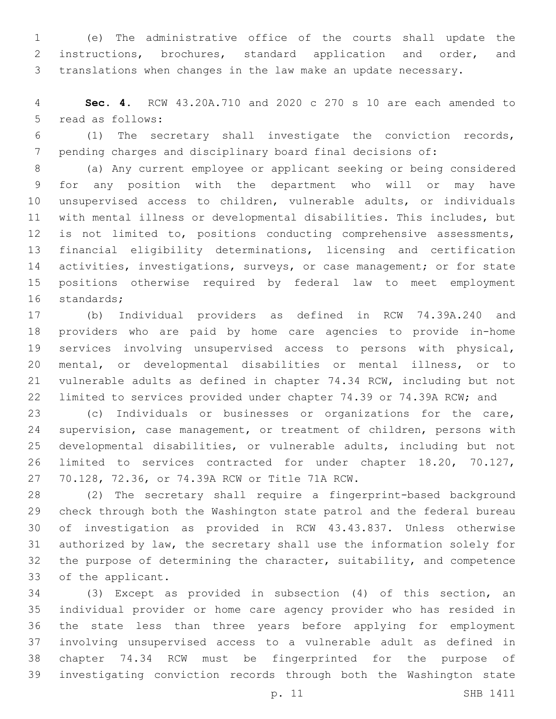(e) The administrative office of the courts shall update the instructions, brochures, standard application and order, and translations when changes in the law make an update necessary.

 **Sec. 4.** RCW 43.20A.710 and 2020 c 270 s 10 are each amended to 5 read as follows:

 (1) The secretary shall investigate the conviction records, pending charges and disciplinary board final decisions of:

 (a) Any current employee or applicant seeking or being considered for any position with the department who will or may have unsupervised access to children, vulnerable adults, or individuals with mental illness or developmental disabilities. This includes, but is not limited to, positions conducting comprehensive assessments, financial eligibility determinations, licensing and certification 14 activities, investigations, surveys, or case management; or for state positions otherwise required by federal law to meet employment 16 standards;

 (b) Individual providers as defined in RCW 74.39A.240 and providers who are paid by home care agencies to provide in-home services involving unsupervised access to persons with physical, mental, or developmental disabilities or mental illness, or to vulnerable adults as defined in chapter 74.34 RCW, including but not limited to services provided under chapter 74.39 or 74.39A RCW; and

 (c) Individuals or businesses or organizations for the care, supervision, case management, or treatment of children, persons with developmental disabilities, or vulnerable adults, including but not limited to services contracted for under chapter 18.20, 70.127, 27 70.128, 72.36, or 74.39A RCW or Title 71A RCW.

 (2) The secretary shall require a fingerprint-based background check through both the Washington state patrol and the federal bureau of investigation as provided in RCW 43.43.837. Unless otherwise authorized by law, the secretary shall use the information solely for the purpose of determining the character, suitability, and competence 33 of the applicant.

 (3) Except as provided in subsection (4) of this section, an individual provider or home care agency provider who has resided in the state less than three years before applying for employment involving unsupervised access to a vulnerable adult as defined in chapter 74.34 RCW must be fingerprinted for the purpose of investigating conviction records through both the Washington state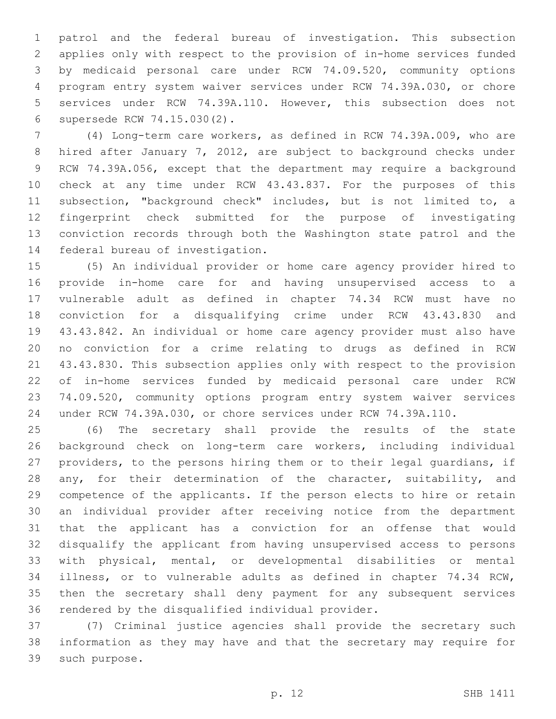patrol and the federal bureau of investigation. This subsection applies only with respect to the provision of in-home services funded by medicaid personal care under RCW 74.09.520, community options program entry system waiver services under RCW 74.39A.030, or chore services under RCW 74.39A.110. However, this subsection does not supersede RCW 74.15.030(2).6

 (4) Long-term care workers, as defined in RCW 74.39A.009, who are hired after January 7, 2012, are subject to background checks under RCW 74.39A.056, except that the department may require a background check at any time under RCW 43.43.837. For the purposes of this subsection, "background check" includes, but is not limited to, a fingerprint check submitted for the purpose of investigating conviction records through both the Washington state patrol and the 14 federal bureau of investigation.

 (5) An individual provider or home care agency provider hired to provide in-home care for and having unsupervised access to a vulnerable adult as defined in chapter 74.34 RCW must have no conviction for a disqualifying crime under RCW 43.43.830 and 43.43.842. An individual or home care agency provider must also have no conviction for a crime relating to drugs as defined in RCW 43.43.830. This subsection applies only with respect to the provision of in-home services funded by medicaid personal care under RCW 74.09.520, community options program entry system waiver services under RCW 74.39A.030, or chore services under RCW 74.39A.110.

 (6) The secretary shall provide the results of the state background check on long-term care workers, including individual providers, to the persons hiring them or to their legal guardians, if any, for their determination of the character, suitability, and competence of the applicants. If the person elects to hire or retain an individual provider after receiving notice from the department that the applicant has a conviction for an offense that would disqualify the applicant from having unsupervised access to persons with physical, mental, or developmental disabilities or mental illness, or to vulnerable adults as defined in chapter 74.34 RCW, then the secretary shall deny payment for any subsequent services 36 rendered by the disqualified individual provider.

 (7) Criminal justice agencies shall provide the secretary such information as they may have and that the secretary may require for 39 such purpose.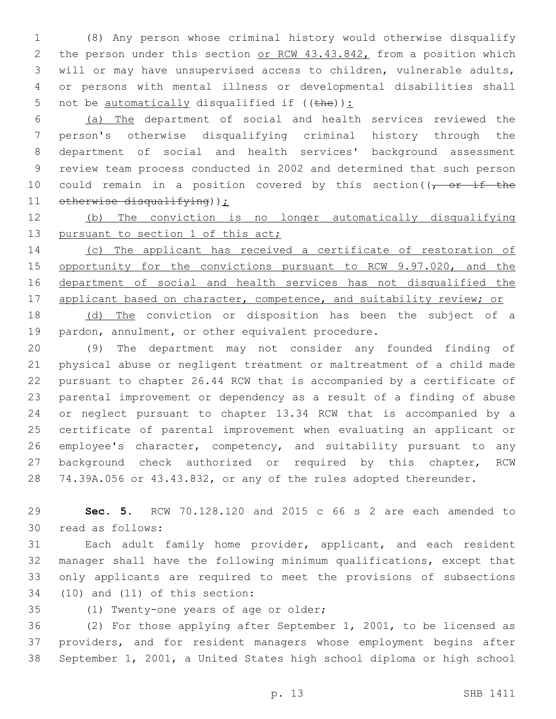(8) Any person whose criminal history would otherwise disqualify 2 the person under this section or RCW 43.43.842, from a position which will or may have unsupervised access to children, vulnerable adults, or persons with mental illness or developmental disabilities shall 5 not be <u>automatically</u> disqualified if  $((the))$ :

 (a) The department of social and health services reviewed the person's otherwise disqualifying criminal history through the department of social and health services' background assessment review team process conducted in 2002 and determined that such person 10 could remain in a position covered by this section( $\sqrt{r}$  or if the 11 otherwise disqualifying));

 (b) The conviction is no longer automatically disqualifying 13 pursuant to section 1 of this act;

 (c) The applicant has received a certificate of restoration of 15 opportunity for the convictions pursuant to RCW 9.97.020, and the department of social and health services has not disqualified the 17 applicant based on character, competence, and suitability review; or

 (d) The conviction or disposition has been the subject of a 19 pardon, annulment, or other equivalent procedure.

 (9) The department may not consider any founded finding of physical abuse or negligent treatment or maltreatment of a child made pursuant to chapter 26.44 RCW that is accompanied by a certificate of parental improvement or dependency as a result of a finding of abuse or neglect pursuant to chapter 13.34 RCW that is accompanied by a certificate of parental improvement when evaluating an applicant or 26 employee's character, competency, and suitability pursuant to any 27 background check authorized or required by this chapter, RCW 74.39A.056 or 43.43.832, or any of the rules adopted thereunder.

 **Sec. 5.** RCW 70.128.120 and 2015 c 66 s 2 are each amended to 30 read as follows:

 Each adult family home provider, applicant, and each resident manager shall have the following minimum qualifications, except that only applicants are required to meet the provisions of subsections (10) and (11) of this section:

35 (1) Twenty-one years of age or older;

 (2) For those applying after September 1, 2001, to be licensed as providers, and for resident managers whose employment begins after September 1, 2001, a United States high school diploma or high school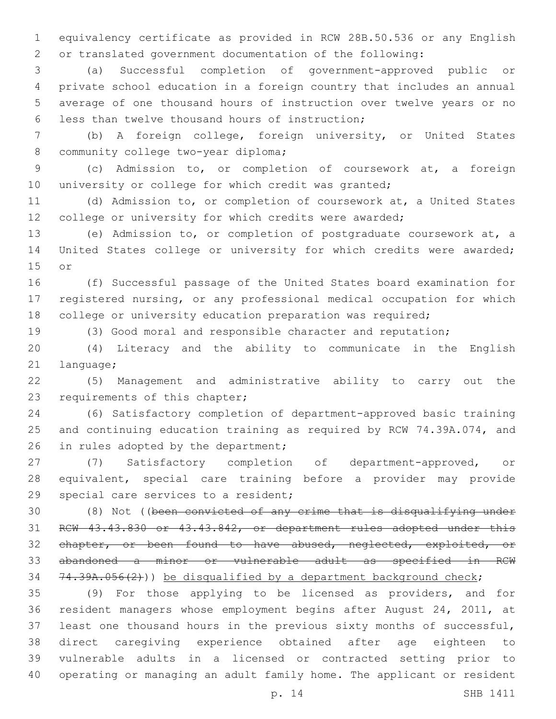equivalency certificate as provided in RCW 28B.50.536 or any English or translated government documentation of the following:

 (a) Successful completion of government-approved public or private school education in a foreign country that includes an annual average of one thousand hours of instruction over twelve years or no 6 less than twelve thousand hours of instruction;

 (b) A foreign college, foreign university, or United States 8 community college two-year diploma;

 (c) Admission to, or completion of coursework at, a foreign 10 university or college for which credit was granted;

 (d) Admission to, or completion of coursework at, a United States college or university for which credits were awarded;

 (e) Admission to, or completion of postgraduate coursework at, a United States college or university for which credits were awarded; 15 or

 (f) Successful passage of the United States board examination for registered nursing, or any professional medical occupation for which 18 college or university education preparation was required;

(3) Good moral and responsible character and reputation;

 (4) Literacy and the ability to communicate in the English 21 language;

 (5) Management and administrative ability to carry out the 23 requirements of this chapter;

 (6) Satisfactory completion of department-approved basic training and continuing education training as required by RCW 74.39A.074, and 26 in rules adopted by the department;

 (7) Satisfactory completion of department-approved, or equivalent, special care training before a provider may provide 29 special care services to a resident;

 (8) Not ((been convicted of any crime that is disqualifying under RCW 43.43.830 or 43.43.842, or department rules adopted under this 32 chapter, or been found to have abused, neglected, exploited, or abandoned a minor or vulnerable adult as specified in RCW  $74.39A.056(2)$ )) be disqualified by a department background check;

 (9) For those applying to be licensed as providers, and for resident managers whose employment begins after August 24, 2011, at least one thousand hours in the previous sixty months of successful, direct caregiving experience obtained after age eighteen to vulnerable adults in a licensed or contracted setting prior to operating or managing an adult family home. The applicant or resident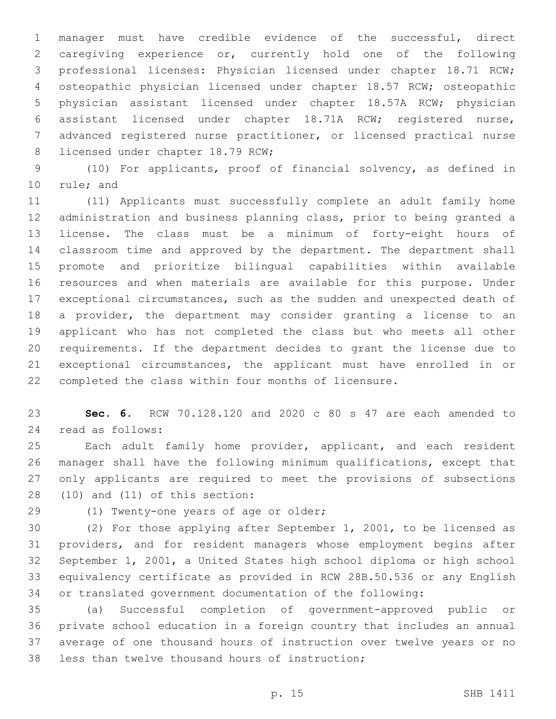manager must have credible evidence of the successful, direct caregiving experience or, currently hold one of the following professional licenses: Physician licensed under chapter 18.71 RCW; osteopathic physician licensed under chapter 18.57 RCW; osteopathic physician assistant licensed under chapter 18.57A RCW; physician assistant licensed under chapter 18.71A RCW; registered nurse, advanced registered nurse practitioner, or licensed practical nurse 8 licensed under chapter 18.79 RCW;

 (10) For applicants, proof of financial solvency, as defined in 10 rule; and

 (11) Applicants must successfully complete an adult family home administration and business planning class, prior to being granted a license. The class must be a minimum of forty-eight hours of classroom time and approved by the department. The department shall promote and prioritize bilingual capabilities within available resources and when materials are available for this purpose. Under exceptional circumstances, such as the sudden and unexpected death of a provider, the department may consider granting a license to an applicant who has not completed the class but who meets all other requirements. If the department decides to grant the license due to exceptional circumstances, the applicant must have enrolled in or completed the class within four months of licensure.

 **Sec. 6.** RCW 70.128.120 and 2020 c 80 s 47 are each amended to read as follows:24

 Each adult family home provider, applicant, and each resident manager shall have the following minimum qualifications, except that only applicants are required to meet the provisions of subsections (10) and (11) of this section:

29 (1) Twenty-one years of age or older;

 (2) For those applying after September 1, 2001, to be licensed as providers, and for resident managers whose employment begins after September 1, 2001, a United States high school diploma or high school equivalency certificate as provided in RCW 28B.50.536 or any English or translated government documentation of the following:

 (a) Successful completion of government-approved public or private school education in a foreign country that includes an annual average of one thousand hours of instruction over twelve years or no 38 less than twelve thousand hours of instruction;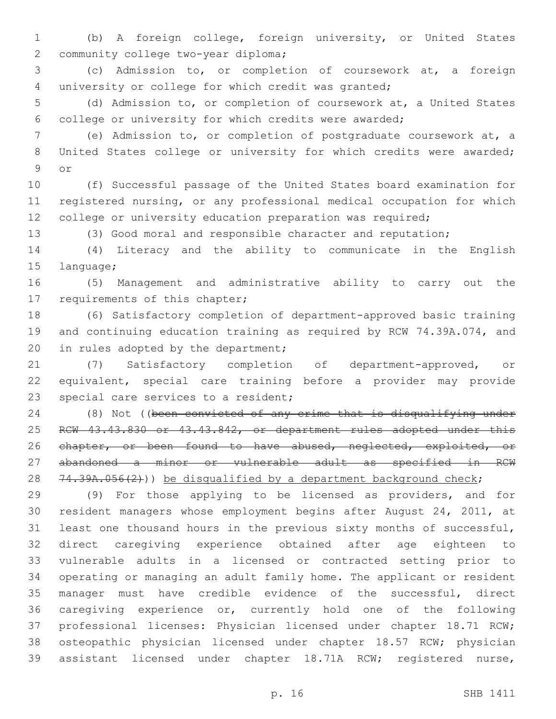(b) A foreign college, foreign university, or United States 2 community college two-year diploma;

 (c) Admission to, or completion of coursework at, a foreign university or college for which credit was granted;

 (d) Admission to, or completion of coursework at, a United States college or university for which credits were awarded;

 (e) Admission to, or completion of postgraduate coursework at, a 8 United States college or university for which credits were awarded; 9 or

 (f) Successful passage of the United States board examination for registered nursing, or any professional medical occupation for which 12 college or university education preparation was required;

(3) Good moral and responsible character and reputation;

 (4) Literacy and the ability to communicate in the English 15 language;

 (5) Management and administrative ability to carry out the 17 requirements of this chapter;

 (6) Satisfactory completion of department-approved basic training and continuing education training as required by RCW 74.39A.074, and 20 in rules adopted by the department;

 (7) Satisfactory completion of department-approved, or equivalent, special care training before a provider may provide 23 special care services to a resident;

 (8) Not ((been convicted of any crime that is disqualifying under 25 RCW 43.43.830 or 43.43.842, or department rules adopted under this 26 chapter, or been found to have abused, neglected, exploited, or abandoned a minor or vulnerable adult as specified in RCW 28  $74.39A.056(2)$ )) be disqualified by a department background check;

 (9) For those applying to be licensed as providers, and for resident managers whose employment begins after August 24, 2011, at least one thousand hours in the previous sixty months of successful, direct caregiving experience obtained after age eighteen to vulnerable adults in a licensed or contracted setting prior to operating or managing an adult family home. The applicant or resident manager must have credible evidence of the successful, direct caregiving experience or, currently hold one of the following professional licenses: Physician licensed under chapter 18.71 RCW; osteopathic physician licensed under chapter 18.57 RCW; physician assistant licensed under chapter 18.71A RCW; registered nurse,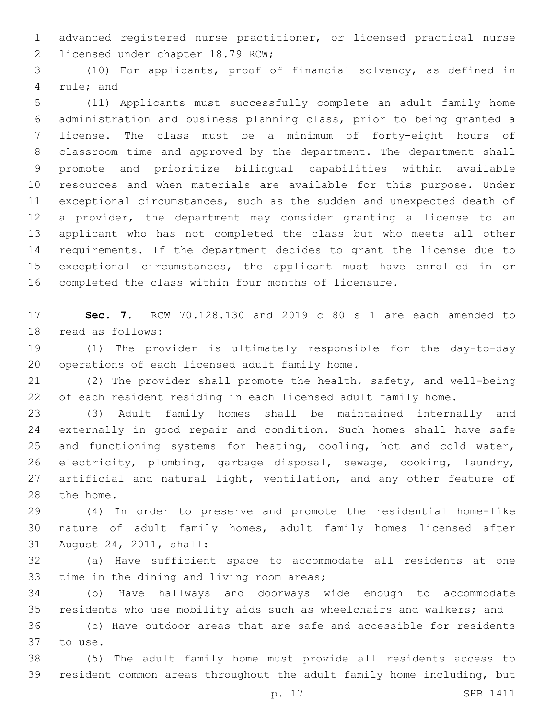advanced registered nurse practitioner, or licensed practical nurse 2 licensed under chapter 18.79 RCW;

 (10) For applicants, proof of financial solvency, as defined in 4 rule; and

 (11) Applicants must successfully complete an adult family home administration and business planning class, prior to being granted a license. The class must be a minimum of forty-eight hours of classroom time and approved by the department. The department shall promote and prioritize bilingual capabilities within available resources and when materials are available for this purpose. Under exceptional circumstances, such as the sudden and unexpected death of a provider, the department may consider granting a license to an applicant who has not completed the class but who meets all other requirements. If the department decides to grant the license due to exceptional circumstances, the applicant must have enrolled in or completed the class within four months of licensure.

 **Sec. 7.** RCW 70.128.130 and 2019 c 80 s 1 are each amended to 18 read as follows:

 (1) The provider is ultimately responsible for the day-to-day 20 operations of each licensed adult family home.

 (2) The provider shall promote the health, safety, and well-being of each resident residing in each licensed adult family home.

 (3) Adult family homes shall be maintained internally and externally in good repair and condition. Such homes shall have safe 25 and functioning systems for heating, cooling, hot and cold water, electricity, plumbing, garbage disposal, sewage, cooking, laundry, 27 artificial and natural light, ventilation, and any other feature of 28 the home.

 (4) In order to preserve and promote the residential home-like nature of adult family homes, adult family homes licensed after 31 August 24, 2011, shall:

 (a) Have sufficient space to accommodate all residents at one 33 time in the dining and living room areas;

 (b) Have hallways and doorways wide enough to accommodate residents who use mobility aids such as wheelchairs and walkers; and

 (c) Have outdoor areas that are safe and accessible for residents 37 to use.

 (5) The adult family home must provide all residents access to resident common areas throughout the adult family home including, but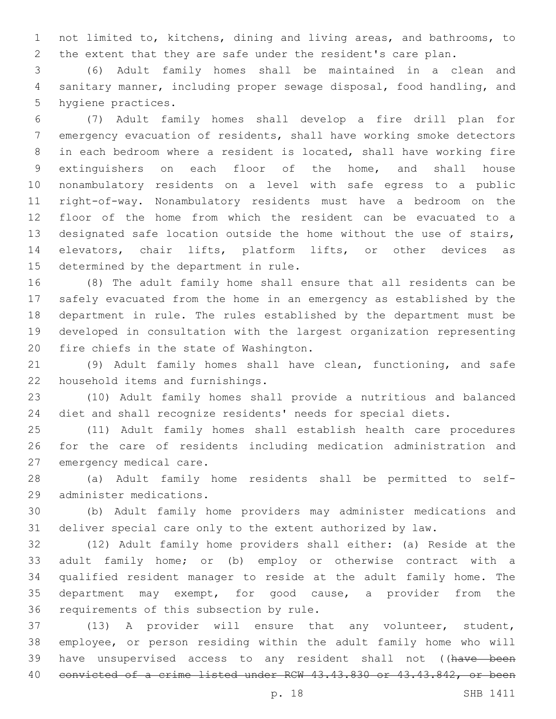not limited to, kitchens, dining and living areas, and bathrooms, to the extent that they are safe under the resident's care plan.

 (6) Adult family homes shall be maintained in a clean and sanitary manner, including proper sewage disposal, food handling, and 5 hygiene practices.

 (7) Adult family homes shall develop a fire drill plan for emergency evacuation of residents, shall have working smoke detectors in each bedroom where a resident is located, shall have working fire extinguishers on each floor of the home, and shall house nonambulatory residents on a level with safe egress to a public right-of-way. Nonambulatory residents must have a bedroom on the floor of the home from which the resident can be evacuated to a designated safe location outside the home without the use of stairs, elevators, chair lifts, platform lifts, or other devices as 15 determined by the department in rule.

 (8) The adult family home shall ensure that all residents can be safely evacuated from the home in an emergency as established by the department in rule. The rules established by the department must be developed in consultation with the largest organization representing 20 fire chiefs in the state of Washington.

 (9) Adult family homes shall have clean, functioning, and safe 22 household items and furnishings.

 (10) Adult family homes shall provide a nutritious and balanced diet and shall recognize residents' needs for special diets.

 (11) Adult family homes shall establish health care procedures for the care of residents including medication administration and 27 emergency medical care.

 (a) Adult family home residents shall be permitted to self-29 administer medications.

 (b) Adult family home providers may administer medications and deliver special care only to the extent authorized by law.

 (12) Adult family home providers shall either: (a) Reside at the adult family home; or (b) employ or otherwise contract with a qualified resident manager to reside at the adult family home. The department may exempt, for good cause, a provider from the 36 requirements of this subsection by rule.

 (13) A provider will ensure that any volunteer, student, employee, or person residing within the adult family home who will 39 have unsupervised access to any resident shall not ((have been 40 convicted of a crime listed under RCW 43.43.830 or 43.43.842, or been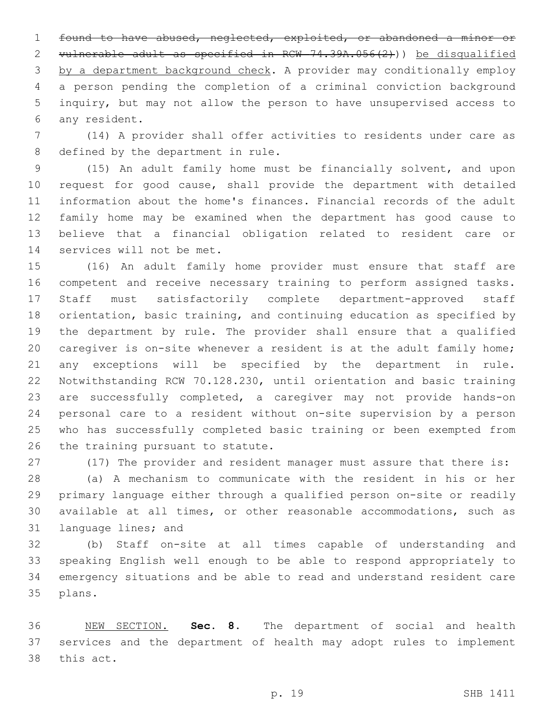found to have abused, neglected, exploited, or abandoned a minor or vulnerable adult as specified in RCW 74.39A.056(2))) be disqualified by a department background check. A provider may conditionally employ a person pending the completion of a criminal conviction background inquiry, but may not allow the person to have unsupervised access to 6 any resident.

 (14) A provider shall offer activities to residents under care as 8 defined by the department in rule.

 (15) An adult family home must be financially solvent, and upon request for good cause, shall provide the department with detailed information about the home's finances. Financial records of the adult family home may be examined when the department has good cause to believe that a financial obligation related to resident care or 14 services will not be met.

 (16) An adult family home provider must ensure that staff are competent and receive necessary training to perform assigned tasks. Staff must satisfactorily complete department-approved staff orientation, basic training, and continuing education as specified by the department by rule. The provider shall ensure that a qualified caregiver is on-site whenever a resident is at the adult family home; any exceptions will be specified by the department in rule. Notwithstanding RCW 70.128.230, until orientation and basic training are successfully completed, a caregiver may not provide hands-on personal care to a resident without on-site supervision by a person who has successfully completed basic training or been exempted from 26 the training pursuant to statute.

(17) The provider and resident manager must assure that there is:

 (a) A mechanism to communicate with the resident in his or her primary language either through a qualified person on-site or readily available at all times, or other reasonable accommodations, such as 31 language lines; and

 (b) Staff on-site at all times capable of understanding and speaking English well enough to be able to respond appropriately to emergency situations and be able to read and understand resident care 35 plans.

 NEW SECTION. **Sec. 8.** The department of social and health services and the department of health may adopt rules to implement this act.